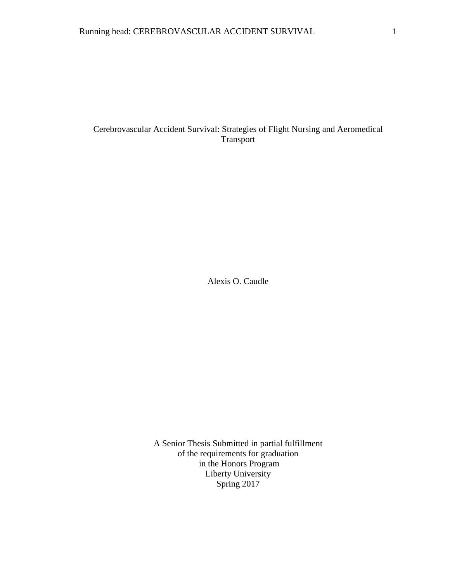# Cerebrovascular Accident Survival: Strategies of Flight Nursing and Aeromedical Transport

Alexis O. Caudle

A Senior Thesis Submitted in partial fulfillment of the requirements for graduation in the Honors Program Liberty University Spring 2017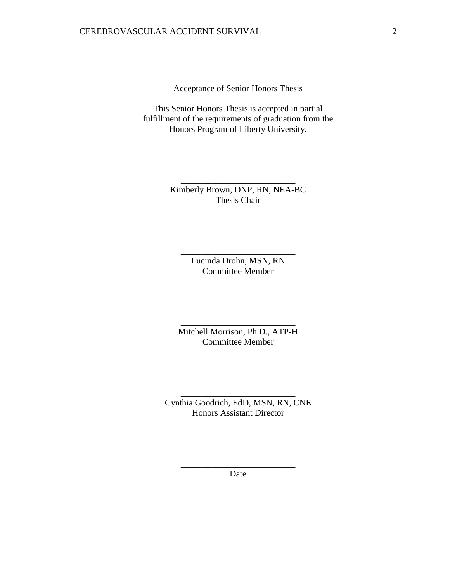Acceptance of Senior Honors Thesis

This Senior Honors Thesis is accepted in partial fulfillment of the requirements of graduation from the Honors Program of Liberty University.

> Kimberly Brown, DNP, RN, NEA-BC Thesis Chair

\_\_\_\_\_\_\_\_\_\_\_\_\_\_\_\_\_\_\_\_\_\_\_\_\_\_

Lucinda Drohn, MSN, RN Committee Member

\_\_\_\_\_\_\_\_\_\_\_\_\_\_\_\_\_\_\_\_\_\_\_\_\_\_

Mitchell Morrison, Ph.D., ATP-H Committee Member

\_\_\_\_\_\_\_\_\_\_\_\_\_\_\_\_\_\_\_\_\_\_\_\_\_\_

Cynthia Goodrich, EdD, MSN, RN, CNE Honors Assistant Director

\_\_\_\_\_\_\_\_\_\_\_\_\_\_\_\_\_\_\_\_\_\_\_\_\_\_

\_\_\_\_\_\_\_\_\_\_\_\_\_\_\_\_\_\_\_\_\_\_\_\_\_\_ Date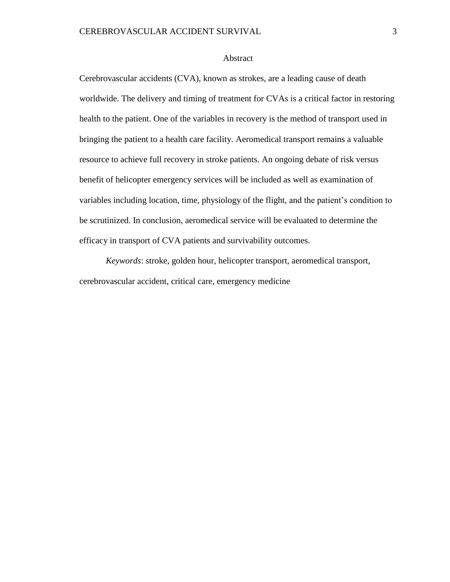#### Abstract

Cerebrovascular accidents (CVA), known as strokes, are a leading cause of death worldwide. The delivery and timing of treatment for CVAs is a critical factor in restoring health to the patient. One of the variables in recovery is the method of transport used in bringing the patient to a health care facility. Aeromedical transport remains a valuable resource to achieve full recovery in stroke patients. An ongoing debate of risk versus benefit of helicopter emergency services will be included as well as examination of variables including location, time, physiology of the flight, and the patient's condition to be scrutinized. In conclusion, aeromedical service will be evaluated to determine the efficacy in transport of CVA patients and survivability outcomes.

*Keywords*: stroke, golden hour, helicopter transport, aeromedical transport, cerebrovascular accident, critical care, emergency medicine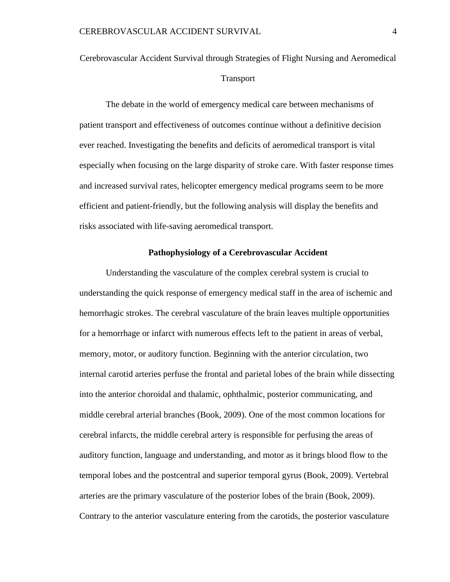# Cerebrovascular Accident Survival through Strategies of Flight Nursing and Aeromedical **Transport**

The debate in the world of emergency medical care between mechanisms of patient transport and effectiveness of outcomes continue without a definitive decision ever reached. Investigating the benefits and deficits of aeromedical transport is vital especially when focusing on the large disparity of stroke care. With faster response times and increased survival rates, helicopter emergency medical programs seem to be more efficient and patient-friendly, but the following analysis will display the benefits and risks associated with life-saving aeromedical transport.

### **Pathophysiology of a Cerebrovascular Accident**

Understanding the vasculature of the complex cerebral system is crucial to understanding the quick response of emergency medical staff in the area of ischemic and hemorrhagic strokes. The cerebral vasculature of the brain leaves multiple opportunities for a hemorrhage or infarct with numerous effects left to the patient in areas of verbal, memory, motor, or auditory function. Beginning with the anterior circulation, two internal carotid arteries perfuse the frontal and parietal lobes of the brain while dissecting into the anterior choroidal and thalamic, ophthalmic, posterior communicating, and middle cerebral arterial branches (Book, 2009). One of the most common locations for cerebral infarcts, the middle cerebral artery is responsible for perfusing the areas of auditory function, language and understanding, and motor as it brings blood flow to the temporal lobes and the postcentral and superior temporal gyrus (Book, 2009). Vertebral arteries are the primary vasculature of the posterior lobes of the brain (Book, 2009). Contrary to the anterior vasculature entering from the carotids, the posterior vasculature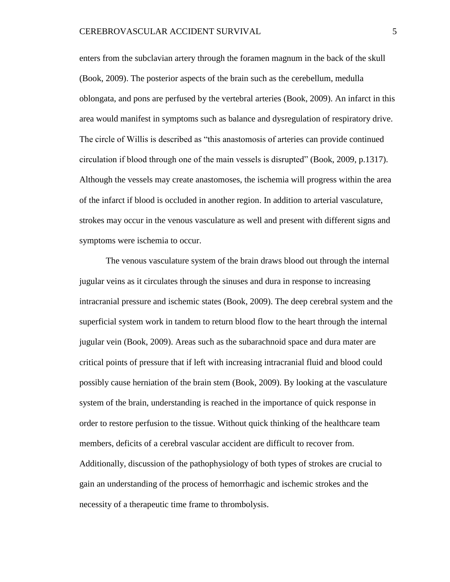enters from the subclavian artery through the foramen magnum in the back of the skull (Book, 2009). The posterior aspects of the brain such as the cerebellum, medulla oblongata, and pons are perfused by the vertebral arteries (Book, 2009). An infarct in this area would manifest in symptoms such as balance and dysregulation of respiratory drive. The circle of Willis is described as "this anastomosis of arteries can provide continued circulation if blood through one of the main vessels is disrupted" (Book, 2009, p.1317). Although the vessels may create anastomoses, the ischemia will progress within the area of the infarct if blood is occluded in another region. In addition to arterial vasculature, strokes may occur in the venous vasculature as well and present with different signs and symptoms were ischemia to occur.

The venous vasculature system of the brain draws blood out through the internal jugular veins as it circulates through the sinuses and dura in response to increasing intracranial pressure and ischemic states (Book, 2009). The deep cerebral system and the superficial system work in tandem to return blood flow to the heart through the internal jugular vein (Book, 2009). Areas such as the subarachnoid space and dura mater are critical points of pressure that if left with increasing intracranial fluid and blood could possibly cause herniation of the brain stem (Book, 2009). By looking at the vasculature system of the brain, understanding is reached in the importance of quick response in order to restore perfusion to the tissue. Without quick thinking of the healthcare team members, deficits of a cerebral vascular accident are difficult to recover from. Additionally, discussion of the pathophysiology of both types of strokes are crucial to gain an understanding of the process of hemorrhagic and ischemic strokes and the necessity of a therapeutic time frame to thrombolysis.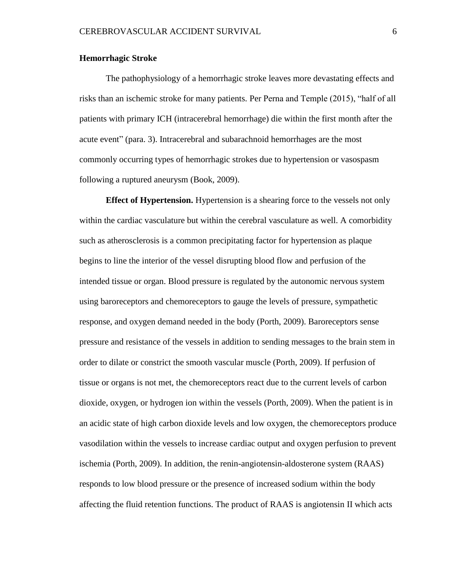#### **Hemorrhagic Stroke**

The pathophysiology of a hemorrhagic stroke leaves more devastating effects and risks than an ischemic stroke for many patients. Per Perna and Temple (2015), "half of all patients with primary ICH (intracerebral hemorrhage) die within the first month after the acute event" (para. 3). Intracerebral and subarachnoid hemorrhages are the most commonly occurring types of hemorrhagic strokes due to hypertension or vasospasm following a ruptured aneurysm (Book, 2009).

**Effect of Hypertension.** Hypertension is a shearing force to the vessels not only within the cardiac vasculature but within the cerebral vasculature as well. A comorbidity such as atherosclerosis is a common precipitating factor for hypertension as plaque begins to line the interior of the vessel disrupting blood flow and perfusion of the intended tissue or organ. Blood pressure is regulated by the autonomic nervous system using baroreceptors and chemoreceptors to gauge the levels of pressure, sympathetic response, and oxygen demand needed in the body (Porth, 2009). Baroreceptors sense pressure and resistance of the vessels in addition to sending messages to the brain stem in order to dilate or constrict the smooth vascular muscle (Porth, 2009). If perfusion of tissue or organs is not met, the chemoreceptors react due to the current levels of carbon dioxide, oxygen, or hydrogen ion within the vessels (Porth, 2009). When the patient is in an acidic state of high carbon dioxide levels and low oxygen, the chemoreceptors produce vasodilation within the vessels to increase cardiac output and oxygen perfusion to prevent ischemia (Porth, 2009). In addition, the renin-angiotensin-aldosterone system (RAAS) responds to low blood pressure or the presence of increased sodium within the body affecting the fluid retention functions. The product of RAAS is angiotensin II which acts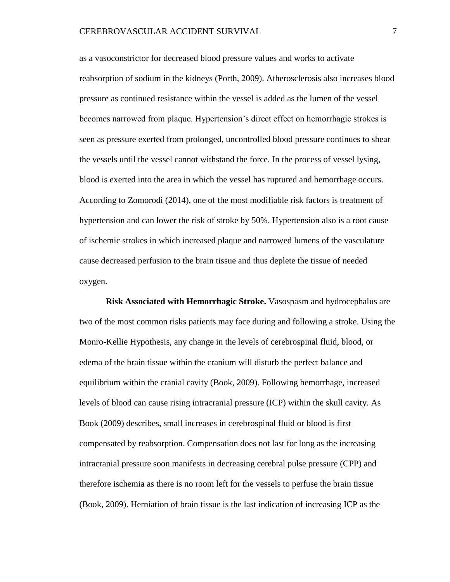as a vasoconstrictor for decreased blood pressure values and works to activate reabsorption of sodium in the kidneys (Porth, 2009). Atherosclerosis also increases blood pressure as continued resistance within the vessel is added as the lumen of the vessel becomes narrowed from plaque. Hypertension's direct effect on hemorrhagic strokes is seen as pressure exerted from prolonged, uncontrolled blood pressure continues to shear the vessels until the vessel cannot withstand the force. In the process of vessel lysing, blood is exerted into the area in which the vessel has ruptured and hemorrhage occurs. According to Zomorodi (2014), one of the most modifiable risk factors is treatment of hypertension and can lower the risk of stroke by 50%. Hypertension also is a root cause of ischemic strokes in which increased plaque and narrowed lumens of the vasculature cause decreased perfusion to the brain tissue and thus deplete the tissue of needed oxygen.

**Risk Associated with Hemorrhagic Stroke.** Vasospasm and hydrocephalus are two of the most common risks patients may face during and following a stroke. Using the Monro-Kellie Hypothesis, any change in the levels of cerebrospinal fluid, blood, or edema of the brain tissue within the cranium will disturb the perfect balance and equilibrium within the cranial cavity (Book, 2009). Following hemorrhage, increased levels of blood can cause rising intracranial pressure (ICP) within the skull cavity. As Book (2009) describes, small increases in cerebrospinal fluid or blood is first compensated by reabsorption. Compensation does not last for long as the increasing intracranial pressure soon manifests in decreasing cerebral pulse pressure (CPP) and therefore ischemia as there is no room left for the vessels to perfuse the brain tissue (Book, 2009). Herniation of brain tissue is the last indication of increasing ICP as the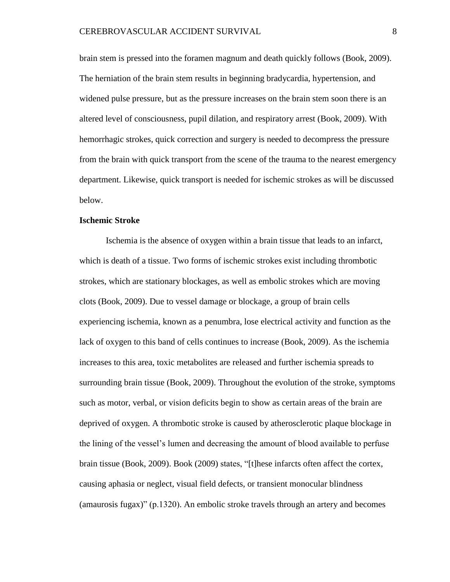brain stem is pressed into the foramen magnum and death quickly follows (Book, 2009). The herniation of the brain stem results in beginning bradycardia, hypertension, and widened pulse pressure, but as the pressure increases on the brain stem soon there is an altered level of consciousness, pupil dilation, and respiratory arrest (Book, 2009). With hemorrhagic strokes, quick correction and surgery is needed to decompress the pressure from the brain with quick transport from the scene of the trauma to the nearest emergency department. Likewise, quick transport is needed for ischemic strokes as will be discussed below.

#### **Ischemic Stroke**

Ischemia is the absence of oxygen within a brain tissue that leads to an infarct, which is death of a tissue. Two forms of ischemic strokes exist including thrombotic strokes, which are stationary blockages, as well as embolic strokes which are moving clots (Book, 2009). Due to vessel damage or blockage, a group of brain cells experiencing ischemia, known as a penumbra, lose electrical activity and function as the lack of oxygen to this band of cells continues to increase (Book, 2009). As the ischemia increases to this area, toxic metabolites are released and further ischemia spreads to surrounding brain tissue (Book, 2009). Throughout the evolution of the stroke, symptoms such as motor, verbal, or vision deficits begin to show as certain areas of the brain are deprived of oxygen. A thrombotic stroke is caused by atherosclerotic plaque blockage in the lining of the vessel's lumen and decreasing the amount of blood available to perfuse brain tissue (Book, 2009). Book (2009) states, "[t]hese infarcts often affect the cortex, causing aphasia or neglect, visual field defects, or transient monocular blindness (amaurosis fugax)" (p.1320). An embolic stroke travels through an artery and becomes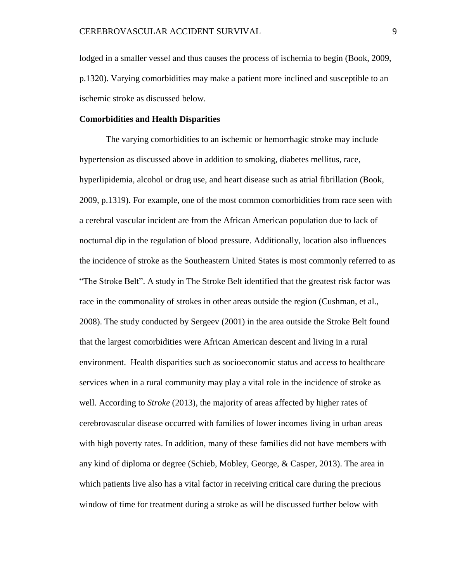lodged in a smaller vessel and thus causes the process of ischemia to begin (Book, 2009, p.1320). Varying comorbidities may make a patient more inclined and susceptible to an ischemic stroke as discussed below.

### **Comorbidities and Health Disparities**

The varying comorbidities to an ischemic or hemorrhagic stroke may include hypertension as discussed above in addition to smoking, diabetes mellitus, race, hyperlipidemia, alcohol or drug use, and heart disease such as atrial fibrillation (Book, 2009, p.1319). For example, one of the most common comorbidities from race seen with a cerebral vascular incident are from the African American population due to lack of nocturnal dip in the regulation of blood pressure. Additionally, location also influences the incidence of stroke as the Southeastern United States is most commonly referred to as "The Stroke Belt". A study in The Stroke Belt identified that the greatest risk factor was race in the commonality of strokes in other areas outside the region (Cushman, et al., 2008). The study conducted by Sergeev (2001) in the area outside the Stroke Belt found that the largest comorbidities were African American descent and living in a rural environment. Health disparities such as socioeconomic status and access to healthcare services when in a rural community may play a vital role in the incidence of stroke as well. According to *Stroke* (2013), the majority of areas affected by higher rates of cerebrovascular disease occurred with families of lower incomes living in urban areas with high poverty rates. In addition, many of these families did not have members with any kind of diploma or degree (Schieb, Mobley, George, & Casper, 2013). The area in which patients live also has a vital factor in receiving critical care during the precious window of time for treatment during a stroke as will be discussed further below with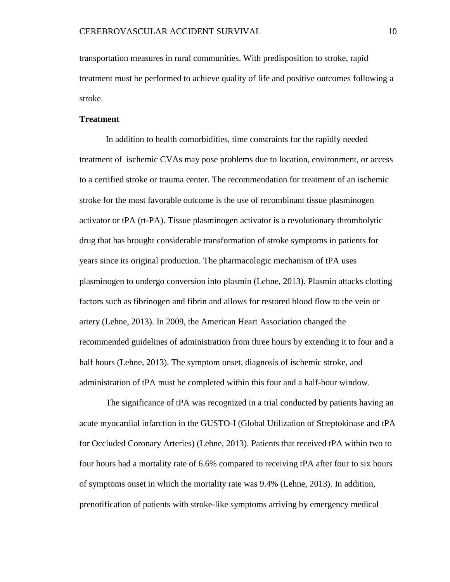transportation measures in rural communities. With predisposition to stroke, rapid treatment must be performed to achieve quality of life and positive outcomes following a stroke.

#### **Treatment**

In addition to health comorbidities, time constraints for the rapidly needed treatment of ischemic CVAs may pose problems due to location, environment, or access to a certified stroke or trauma center. The recommendation for treatment of an ischemic stroke for the most favorable outcome is the use of recombinant tissue plasminogen activator or tPA (rt-PA). Tissue plasminogen activator is a revolutionary thrombolytic drug that has brought considerable transformation of stroke symptoms in patients for years since its original production. The pharmacologic mechanism of tPA uses plasminogen to undergo conversion into plasmin (Lehne, 2013). Plasmin attacks clotting factors such as fibrinogen and fibrin and allows for restored blood flow to the vein or artery (Lehne, 2013). In 2009, the American Heart Association changed the recommended guidelines of administration from three hours by extending it to four and a half hours (Lehne, 2013). The symptom onset, diagnosis of ischemic stroke, and administration of tPA must be completed within this four and a half-hour window.

The significance of tPA was recognized in a trial conducted by patients having an acute myocardial infarction in the GUSTO-I (Global Utilization of Streptokinase and tPA for Occluded Coronary Arteries) (Lehne, 2013). Patients that received tPA within two to four hours had a mortality rate of 6.6% compared to receiving tPA after four to six hours of symptoms onset in which the mortality rate was 9.4% (Lehne, 2013). In addition, prenotification of patients with stroke-like symptoms arriving by emergency medical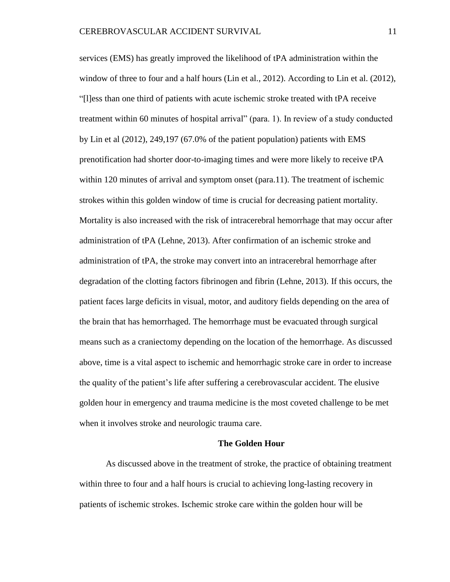services (EMS) has greatly improved the likelihood of tPA administration within the window of three to four and a half hours (Lin et al., 2012). According to Lin et al. (2012), "[l]ess than one third of patients with acute ischemic stroke treated with tPA receive treatment within 60 minutes of hospital arrival" (para. 1). In review of a study conducted by Lin et al (2012), 249,197 (67.0% of the patient population) patients with EMS prenotification had shorter door-to-imaging times and were more likely to receive tPA within 120 minutes of arrival and symptom onset (para.11). The treatment of ischemic strokes within this golden window of time is crucial for decreasing patient mortality. Mortality is also increased with the risk of intracerebral hemorrhage that may occur after administration of tPA (Lehne, 2013). After confirmation of an ischemic stroke and administration of tPA, the stroke may convert into an intracerebral hemorrhage after degradation of the clotting factors fibrinogen and fibrin (Lehne, 2013). If this occurs, the patient faces large deficits in visual, motor, and auditory fields depending on the area of the brain that has hemorrhaged. The hemorrhage must be evacuated through surgical means such as a craniectomy depending on the location of the hemorrhage. As discussed above, time is a vital aspect to ischemic and hemorrhagic stroke care in order to increase the quality of the patient's life after suffering a cerebrovascular accident. The elusive golden hour in emergency and trauma medicine is the most coveted challenge to be met when it involves stroke and neurologic trauma care.

#### **The Golden Hour**

As discussed above in the treatment of stroke, the practice of obtaining treatment within three to four and a half hours is crucial to achieving long-lasting recovery in patients of ischemic strokes. Ischemic stroke care within the golden hour will be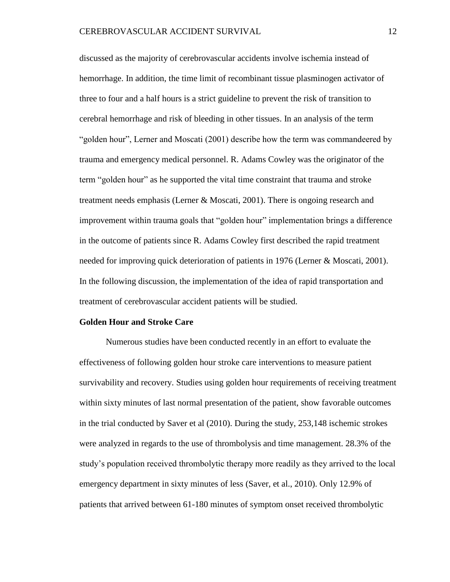discussed as the majority of cerebrovascular accidents involve ischemia instead of hemorrhage. In addition, the time limit of recombinant tissue plasminogen activator of three to four and a half hours is a strict guideline to prevent the risk of transition to cerebral hemorrhage and risk of bleeding in other tissues. In an analysis of the term "golden hour", Lerner and Moscati (2001) describe how the term was commandeered by trauma and emergency medical personnel. R. Adams Cowley was the originator of the term "golden hour" as he supported the vital time constraint that trauma and stroke treatment needs emphasis (Lerner & Moscati, 2001). There is ongoing research and improvement within trauma goals that "golden hour" implementation brings a difference in the outcome of patients since R. Adams Cowley first described the rapid treatment needed for improving quick deterioration of patients in 1976 (Lerner & Moscati, 2001). In the following discussion, the implementation of the idea of rapid transportation and treatment of cerebrovascular accident patients will be studied.

#### **Golden Hour and Stroke Care**

Numerous studies have been conducted recently in an effort to evaluate the effectiveness of following golden hour stroke care interventions to measure patient survivability and recovery. Studies using golden hour requirements of receiving treatment within sixty minutes of last normal presentation of the patient, show favorable outcomes in the trial conducted by Saver et al (2010). During the study, 253,148 ischemic strokes were analyzed in regards to the use of thrombolysis and time management. 28.3% of the study's population received thrombolytic therapy more readily as they arrived to the local emergency department in sixty minutes of less (Saver, et al., 2010). Only 12.9% of patients that arrived between 61-180 minutes of symptom onset received thrombolytic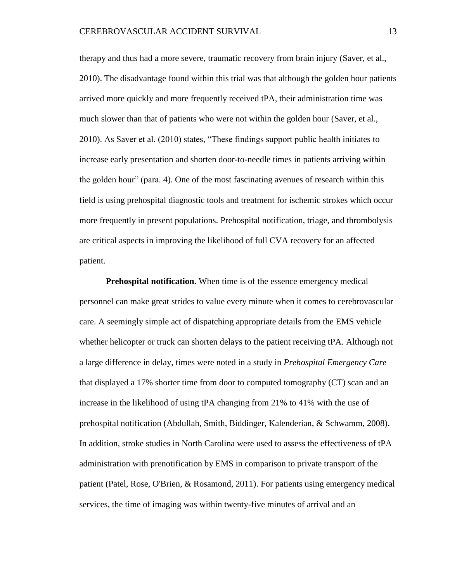therapy and thus had a more severe, traumatic recovery from brain injury (Saver, et al., 2010). The disadvantage found within this trial was that although the golden hour patients arrived more quickly and more frequently received tPA, their administration time was much slower than that of patients who were not within the golden hour (Saver, et al., 2010). As Saver et al. (2010) states, "These findings support public health initiates to increase early presentation and shorten door-to-needle times in patients arriving within the golden hour" (para. 4). One of the most fascinating avenues of research within this field is using prehospital diagnostic tools and treatment for ischemic strokes which occur more frequently in present populations. Prehospital notification, triage, and thrombolysis are critical aspects in improving the likelihood of full CVA recovery for an affected patient.

**Prehospital notification.** When time is of the essence emergency medical personnel can make great strides to value every minute when it comes to cerebrovascular care. A seemingly simple act of dispatching appropriate details from the EMS vehicle whether helicopter or truck can shorten delays to the patient receiving tPA. Although not a large difference in delay, times were noted in a study in *Prehospital Emergency Care* that displayed a 17% shorter time from door to computed tomography (CT) scan and an increase in the likelihood of using tPA changing from 21% to 41% with the use of prehospital notification (Abdullah, Smith, Biddinger, Kalenderian, & Schwamm, 2008). In addition, stroke studies in North Carolina were used to assess the effectiveness of tPA administration with prenotification by EMS in comparison to private transport of the patient (Patel, Rose, O'Brien, & Rosamond, 2011). For patients using emergency medical services, the time of imaging was within twenty-five minutes of arrival and an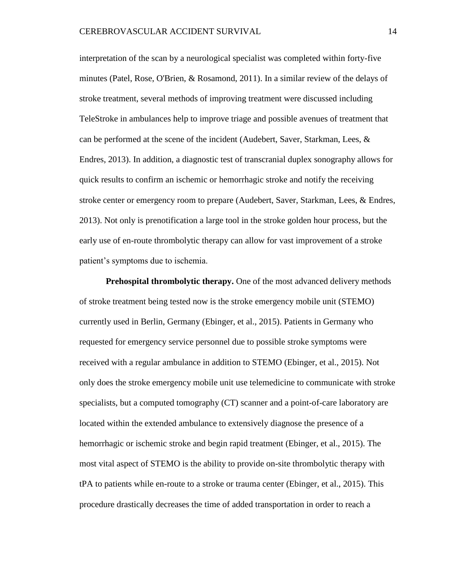interpretation of the scan by a neurological specialist was completed within forty-five minutes (Patel, Rose, O'Brien, & Rosamond, 2011). In a similar review of the delays of stroke treatment, several methods of improving treatment were discussed including TeleStroke in ambulances help to improve triage and possible avenues of treatment that can be performed at the scene of the incident (Audebert, Saver, Starkman, Lees, & Endres, 2013). In addition, a diagnostic test of transcranial duplex sonography allows for quick results to confirm an ischemic or hemorrhagic stroke and notify the receiving stroke center or emergency room to prepare (Audebert, Saver, Starkman, Lees, & Endres, 2013). Not only is prenotification a large tool in the stroke golden hour process, but the early use of en-route thrombolytic therapy can allow for vast improvement of a stroke patient's symptoms due to ischemia.

**Prehospital thrombolytic therapy.** One of the most advanced delivery methods of stroke treatment being tested now is the stroke emergency mobile unit (STEMO) currently used in Berlin, Germany (Ebinger, et al., 2015). Patients in Germany who requested for emergency service personnel due to possible stroke symptoms were received with a regular ambulance in addition to STEMO (Ebinger, et al., 2015). Not only does the stroke emergency mobile unit use telemedicine to communicate with stroke specialists, but a computed tomography (CT) scanner and a point-of-care laboratory are located within the extended ambulance to extensively diagnose the presence of a hemorrhagic or ischemic stroke and begin rapid treatment (Ebinger, et al., 2015). The most vital aspect of STEMO is the ability to provide on-site thrombolytic therapy with tPA to patients while en-route to a stroke or trauma center (Ebinger, et al., 2015). This procedure drastically decreases the time of added transportation in order to reach a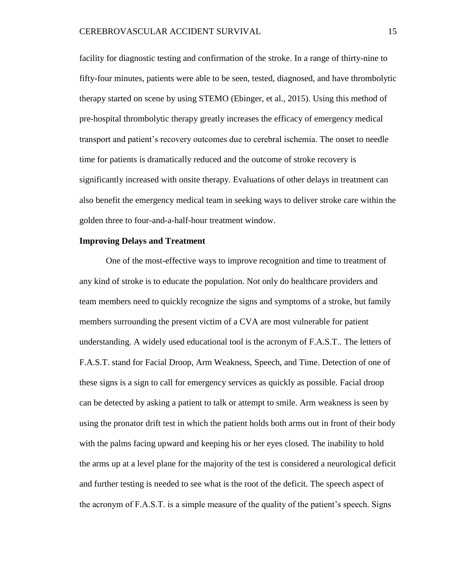facility for diagnostic testing and confirmation of the stroke. In a range of thirty-nine to fifty-four minutes, patients were able to be seen, tested, diagnosed, and have thrombolytic therapy started on scene by using STEMO (Ebinger, et al., 2015). Using this method of pre-hospital thrombolytic therapy greatly increases the efficacy of emergency medical transport and patient's recovery outcomes due to cerebral ischemia. The onset to needle time for patients is dramatically reduced and the outcome of stroke recovery is significantly increased with onsite therapy. Evaluations of other delays in treatment can also benefit the emergency medical team in seeking ways to deliver stroke care within the golden three to four-and-a-half-hour treatment window.

#### **Improving Delays and Treatment**

One of the most-effective ways to improve recognition and time to treatment of any kind of stroke is to educate the population. Not only do healthcare providers and team members need to quickly recognize the signs and symptoms of a stroke, but family members surrounding the present victim of a CVA are most vulnerable for patient understanding. A widely used educational tool is the acronym of F.A.S.T.. The letters of F.A.S.T. stand for Facial Droop, Arm Weakness, Speech, and Time. Detection of one of these signs is a sign to call for emergency services as quickly as possible. Facial droop can be detected by asking a patient to talk or attempt to smile. Arm weakness is seen by using the pronator drift test in which the patient holds both arms out in front of their body with the palms facing upward and keeping his or her eyes closed. The inability to hold the arms up at a level plane for the majority of the test is considered a neurological deficit and further testing is needed to see what is the root of the deficit. The speech aspect of the acronym of F.A.S.T. is a simple measure of the quality of the patient's speech. Signs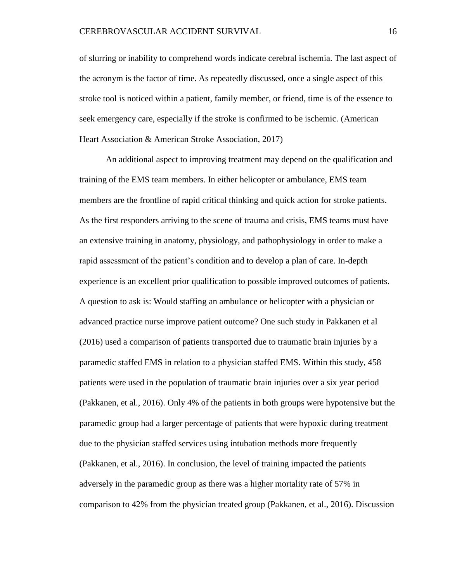of slurring or inability to comprehend words indicate cerebral ischemia. The last aspect of the acronym is the factor of time. As repeatedly discussed, once a single aspect of this stroke tool is noticed within a patient, family member, or friend, time is of the essence to seek emergency care, especially if the stroke is confirmed to be ischemic. (American Heart Association & American Stroke Association, 2017)

An additional aspect to improving treatment may depend on the qualification and training of the EMS team members. In either helicopter or ambulance, EMS team members are the frontline of rapid critical thinking and quick action for stroke patients. As the first responders arriving to the scene of trauma and crisis, EMS teams must have an extensive training in anatomy, physiology, and pathophysiology in order to make a rapid assessment of the patient's condition and to develop a plan of care. In-depth experience is an excellent prior qualification to possible improved outcomes of patients. A question to ask is: Would staffing an ambulance or helicopter with a physician or advanced practice nurse improve patient outcome? One such study in Pakkanen et al (2016) used a comparison of patients transported due to traumatic brain injuries by a paramedic staffed EMS in relation to a physician staffed EMS. Within this study, 458 patients were used in the population of traumatic brain injuries over a six year period (Pakkanen, et al., 2016). Only 4% of the patients in both groups were hypotensive but the paramedic group had a larger percentage of patients that were hypoxic during treatment due to the physician staffed services using intubation methods more frequently (Pakkanen, et al., 2016). In conclusion, the level of training impacted the patients adversely in the paramedic group as there was a higher mortality rate of 57% in comparison to 42% from the physician treated group (Pakkanen, et al., 2016). Discussion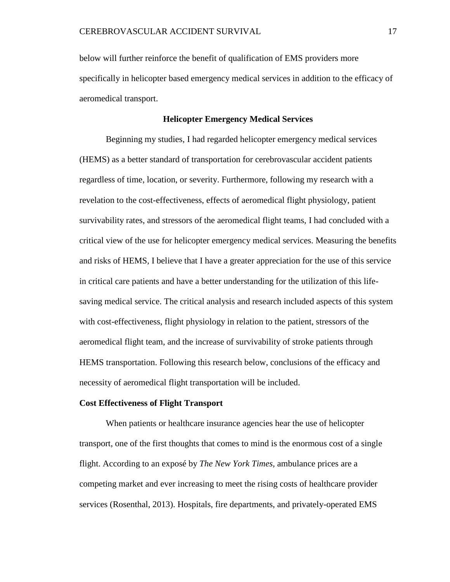below will further reinforce the benefit of qualification of EMS providers more specifically in helicopter based emergency medical services in addition to the efficacy of aeromedical transport.

#### **Helicopter Emergency Medical Services**

Beginning my studies, I had regarded helicopter emergency medical services (HEMS) as a better standard of transportation for cerebrovascular accident patients regardless of time, location, or severity. Furthermore, following my research with a revelation to the cost-effectiveness, effects of aeromedical flight physiology, patient survivability rates, and stressors of the aeromedical flight teams, I had concluded with a critical view of the use for helicopter emergency medical services. Measuring the benefits and risks of HEMS, I believe that I have a greater appreciation for the use of this service in critical care patients and have a better understanding for the utilization of this lifesaving medical service. The critical analysis and research included aspects of this system with cost-effectiveness, flight physiology in relation to the patient, stressors of the aeromedical flight team, and the increase of survivability of stroke patients through HEMS transportation. Following this research below, conclusions of the efficacy and necessity of aeromedical flight transportation will be included.

#### **Cost Effectiveness of Flight Transport**

When patients or healthcare insurance agencies hear the use of helicopter transport, one of the first thoughts that comes to mind is the enormous cost of a single flight. According to an exposé by *The New York Times,* ambulance prices are a competing market and ever increasing to meet the rising costs of healthcare provider services (Rosenthal, 2013). Hospitals, fire departments, and privately-operated EMS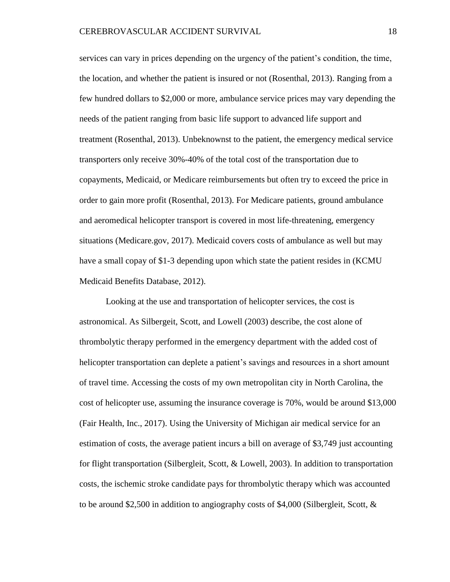services can vary in prices depending on the urgency of the patient's condition, the time, the location, and whether the patient is insured or not (Rosenthal, 2013). Ranging from a few hundred dollars to \$2,000 or more, ambulance service prices may vary depending the needs of the patient ranging from basic life support to advanced life support and treatment (Rosenthal, 2013). Unbeknownst to the patient, the emergency medical service transporters only receive 30%-40% of the total cost of the transportation due to copayments, Medicaid, or Medicare reimbursements but often try to exceed the price in order to gain more profit (Rosenthal, 2013). For Medicare patients, ground ambulance and aeromedical helicopter transport is covered in most life-threatening, emergency situations (Medicare.gov, 2017). Medicaid covers costs of ambulance as well but may have a small copay of \$1-3 depending upon which state the patient resides in (KCMU Medicaid Benefits Database, 2012).

Looking at the use and transportation of helicopter services, the cost is astronomical. As Silbergeit, Scott, and Lowell (2003) describe, the cost alone of thrombolytic therapy performed in the emergency department with the added cost of helicopter transportation can deplete a patient's savings and resources in a short amount of travel time. Accessing the costs of my own metropolitan city in North Carolina, the cost of helicopter use, assuming the insurance coverage is 70%, would be around \$13,000 (Fair Health, Inc., 2017). Using the University of Michigan air medical service for an estimation of costs, the average patient incurs a bill on average of \$3,749 just accounting for flight transportation (Silbergleit, Scott, & Lowell, 2003). In addition to transportation costs, the ischemic stroke candidate pays for thrombolytic therapy which was accounted to be around \$2,500 in addition to angiography costs of \$4,000 (Silbergleit, Scott, &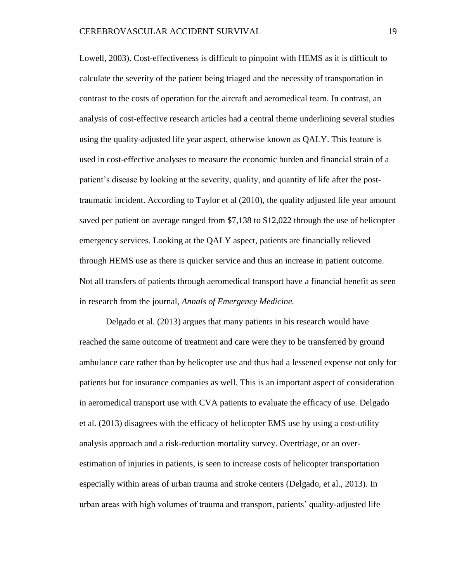Lowell, 2003). Cost-effectiveness is difficult to pinpoint with HEMS as it is difficult to calculate the severity of the patient being triaged and the necessity of transportation in contrast to the costs of operation for the aircraft and aeromedical team. In contrast, an analysis of cost-effective research articles had a central theme underlining several studies using the quality-adjusted life year aspect, otherwise known as QALY. This feature is used in cost-effective analyses to measure the economic burden and financial strain of a patient's disease by looking at the severity, quality, and quantity of life after the posttraumatic incident. According to Taylor et al (2010), the quality adjusted life year amount saved per patient on average ranged from \$7,138 to \$12,022 through the use of helicopter emergency services. Looking at the QALY aspect, patients are financially relieved through HEMS use as there is quicker service and thus an increase in patient outcome. Not all transfers of patients through aeromedical transport have a financial benefit as seen in research from the journal, *Annals of Emergency Medicine.* 

Delgado et al. (2013) argues that many patients in his research would have reached the same outcome of treatment and care were they to be transferred by ground ambulance care rather than by helicopter use and thus had a lessened expense not only for patients but for insurance companies as well. This is an important aspect of consideration in aeromedical transport use with CVA patients to evaluate the efficacy of use. Delgado et al. (2013) disagrees with the efficacy of helicopter EMS use by using a cost-utility analysis approach and a risk-reduction mortality survey. Overtriage, or an overestimation of injuries in patients, is seen to increase costs of helicopter transportation especially within areas of urban trauma and stroke centers (Delgado, et al., 2013). In urban areas with high volumes of trauma and transport, patients' quality-adjusted life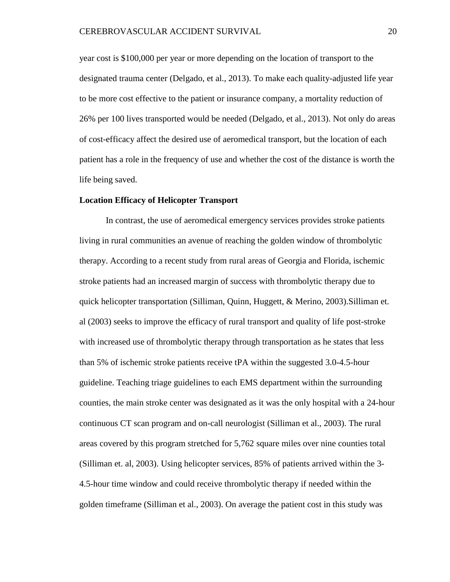year cost is \$100,000 per year or more depending on the location of transport to the designated trauma center (Delgado, et al., 2013). To make each quality-adjusted life year to be more cost effective to the patient or insurance company, a mortality reduction of 26% per 100 lives transported would be needed (Delgado, et al., 2013). Not only do areas of cost-efficacy affect the desired use of aeromedical transport, but the location of each patient has a role in the frequency of use and whether the cost of the distance is worth the life being saved.

#### **Location Efficacy of Helicopter Transport**

In contrast, the use of aeromedical emergency services provides stroke patients living in rural communities an avenue of reaching the golden window of thrombolytic therapy. According to a recent study from rural areas of Georgia and Florida, ischemic stroke patients had an increased margin of success with thrombolytic therapy due to quick helicopter transportation (Silliman, Quinn, Huggett, & Merino, 2003).Silliman et. al (2003) seeks to improve the efficacy of rural transport and quality of life post-stroke with increased use of thrombolytic therapy through transportation as he states that less than 5% of ischemic stroke patients receive tPA within the suggested 3.0-4.5-hour guideline. Teaching triage guidelines to each EMS department within the surrounding counties, the main stroke center was designated as it was the only hospital with a 24-hour continuous CT scan program and on-call neurologist (Silliman et al., 2003). The rural areas covered by this program stretched for 5,762 square miles over nine counties total (Silliman et. al, 2003). Using helicopter services, 85% of patients arrived within the 3- 4.5-hour time window and could receive thrombolytic therapy if needed within the golden timeframe (Silliman et al., 2003). On average the patient cost in this study was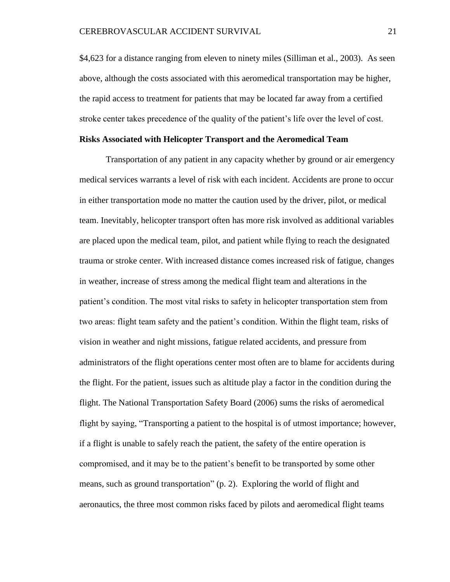\$4,623 for a distance ranging from eleven to ninety miles (Silliman et al., 2003). As seen above, although the costs associated with this aeromedical transportation may be higher, the rapid access to treatment for patients that may be located far away from a certified stroke center takes precedence of the quality of the patient's life over the level of cost.

## **Risks Associated with Helicopter Transport and the Aeromedical Team**

Transportation of any patient in any capacity whether by ground or air emergency medical services warrants a level of risk with each incident. Accidents are prone to occur in either transportation mode no matter the caution used by the driver, pilot, or medical team. Inevitably, helicopter transport often has more risk involved as additional variables are placed upon the medical team, pilot, and patient while flying to reach the designated trauma or stroke center. With increased distance comes increased risk of fatigue, changes in weather, increase of stress among the medical flight team and alterations in the patient's condition. The most vital risks to safety in helicopter transportation stem from two areas: flight team safety and the patient's condition. Within the flight team, risks of vision in weather and night missions, fatigue related accidents, and pressure from administrators of the flight operations center most often are to blame for accidents during the flight. For the patient, issues such as altitude play a factor in the condition during the flight. The National Transportation Safety Board (2006) sums the risks of aeromedical flight by saying, "Transporting a patient to the hospital is of utmost importance; however, if a flight is unable to safely reach the patient, the safety of the entire operation is compromised, and it may be to the patient's benefit to be transported by some other means, such as ground transportation" (p. 2). Exploring the world of flight and aeronautics, the three most common risks faced by pilots and aeromedical flight teams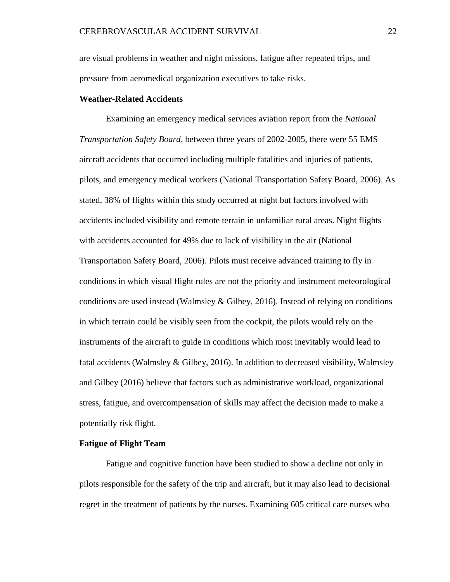are visual problems in weather and night missions, fatigue after repeated trips, and pressure from aeromedical organization executives to take risks.

#### **Weather-Related Accidents**

Examining an emergency medical services aviation report from the *National Transportation Safety Board*, between three years of 2002-2005, there were 55 EMS aircraft accidents that occurred including multiple fatalities and injuries of patients, pilots, and emergency medical workers (National Transportation Safety Board, 2006). As stated, 38% of flights within this study occurred at night but factors involved with accidents included visibility and remote terrain in unfamiliar rural areas. Night flights with accidents accounted for 49% due to lack of visibility in the air (National Transportation Safety Board, 2006). Pilots must receive advanced training to fly in conditions in which visual flight rules are not the priority and instrument meteorological conditions are used instead (Walmsley & Gilbey, 2016). Instead of relying on conditions in which terrain could be visibly seen from the cockpit, the pilots would rely on the instruments of the aircraft to guide in conditions which most inevitably would lead to fatal accidents (Walmsley & Gilbey, 2016). In addition to decreased visibility, Walmsley and Gilbey (2016) believe that factors such as administrative workload, organizational stress, fatigue, and overcompensation of skills may affect the decision made to make a potentially risk flight.

# **Fatigue of Flight Team**

Fatigue and cognitive function have been studied to show a decline not only in pilots responsible for the safety of the trip and aircraft, but it may also lead to decisional regret in the treatment of patients by the nurses. Examining 605 critical care nurses who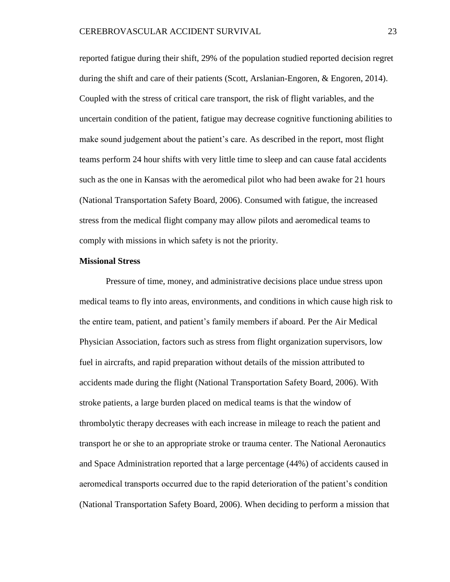reported fatigue during their shift, 29% of the population studied reported decision regret during the shift and care of their patients (Scott, Arslanian-Engoren, & Engoren, 2014). Coupled with the stress of critical care transport, the risk of flight variables, and the uncertain condition of the patient, fatigue may decrease cognitive functioning abilities to make sound judgement about the patient's care. As described in the report, most flight teams perform 24 hour shifts with very little time to sleep and can cause fatal accidents such as the one in Kansas with the aeromedical pilot who had been awake for 21 hours (National Transportation Safety Board, 2006). Consumed with fatigue, the increased stress from the medical flight company may allow pilots and aeromedical teams to comply with missions in which safety is not the priority.

#### **Missional Stress**

Pressure of time, money, and administrative decisions place undue stress upon medical teams to fly into areas, environments, and conditions in which cause high risk to the entire team, patient, and patient's family members if aboard. Per the Air Medical Physician Association, factors such as stress from flight organization supervisors, low fuel in aircrafts, and rapid preparation without details of the mission attributed to accidents made during the flight (National Transportation Safety Board, 2006). With stroke patients, a large burden placed on medical teams is that the window of thrombolytic therapy decreases with each increase in mileage to reach the patient and transport he or she to an appropriate stroke or trauma center. The National Aeronautics and Space Administration reported that a large percentage (44%) of accidents caused in aeromedical transports occurred due to the rapid deterioration of the patient's condition (National Transportation Safety Board, 2006). When deciding to perform a mission that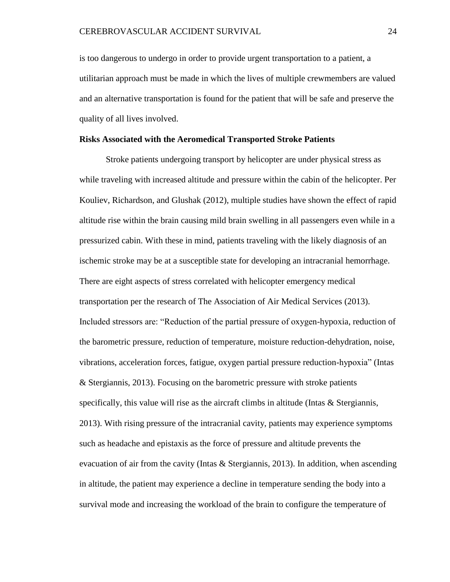is too dangerous to undergo in order to provide urgent transportation to a patient, a utilitarian approach must be made in which the lives of multiple crewmembers are valued and an alternative transportation is found for the patient that will be safe and preserve the quality of all lives involved.

#### **Risks Associated with the Aeromedical Transported Stroke Patients**

Stroke patients undergoing transport by helicopter are under physical stress as while traveling with increased altitude and pressure within the cabin of the helicopter. Per Kouliev, Richardson, and Glushak (2012), multiple studies have shown the effect of rapid altitude rise within the brain causing mild brain swelling in all passengers even while in a pressurized cabin. With these in mind, patients traveling with the likely diagnosis of an ischemic stroke may be at a susceptible state for developing an intracranial hemorrhage. There are eight aspects of stress correlated with helicopter emergency medical transportation per the research of The Association of Air Medical Services (2013). Included stressors are: "Reduction of the partial pressure of oxygen-hypoxia, reduction of the barometric pressure, reduction of temperature, moisture reduction-dehydration, noise, vibrations, acceleration forces, fatigue, oxygen partial pressure reduction-hypoxia" (Intas & Stergiannis, 2013). Focusing on the barometric pressure with stroke patients specifically, this value will rise as the aircraft climbs in altitude (Intas & Stergiannis, 2013). With rising pressure of the intracranial cavity, patients may experience symptoms such as headache and epistaxis as the force of pressure and altitude prevents the evacuation of air from the cavity (Intas & Stergiannis, 2013). In addition, when ascending in altitude, the patient may experience a decline in temperature sending the body into a survival mode and increasing the workload of the brain to configure the temperature of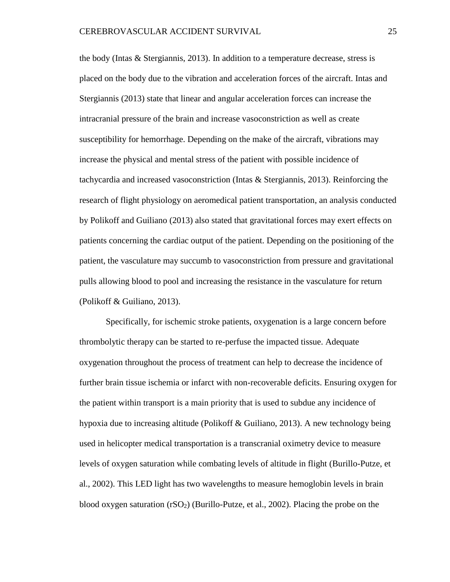the body (Intas  $&$  Stergiannis, 2013). In addition to a temperature decrease, stress is placed on the body due to the vibration and acceleration forces of the aircraft. Intas and Stergiannis (2013) state that linear and angular acceleration forces can increase the intracranial pressure of the brain and increase vasoconstriction as well as create susceptibility for hemorrhage. Depending on the make of the aircraft, vibrations may increase the physical and mental stress of the patient with possible incidence of tachycardia and increased vasoconstriction (Intas & Stergiannis, 2013). Reinforcing the research of flight physiology on aeromedical patient transportation, an analysis conducted by Polikoff and Guiliano (2013) also stated that gravitational forces may exert effects on patients concerning the cardiac output of the patient. Depending on the positioning of the patient, the vasculature may succumb to vasoconstriction from pressure and gravitational pulls allowing blood to pool and increasing the resistance in the vasculature for return (Polikoff & Guiliano, 2013).

Specifically, for ischemic stroke patients, oxygenation is a large concern before thrombolytic therapy can be started to re-perfuse the impacted tissue. Adequate oxygenation throughout the process of treatment can help to decrease the incidence of further brain tissue ischemia or infarct with non-recoverable deficits. Ensuring oxygen for the patient within transport is a main priority that is used to subdue any incidence of hypoxia due to increasing altitude (Polikoff & Guiliano, 2013). A new technology being used in helicopter medical transportation is a transcranial oximetry device to measure levels of oxygen saturation while combating levels of altitude in flight (Burillo-Putze, et al., 2002). This LED light has two wavelengths to measure hemoglobin levels in brain blood oxygen saturation  $(rSO<sub>2</sub>)$  (Burillo-Putze, et al., 2002). Placing the probe on the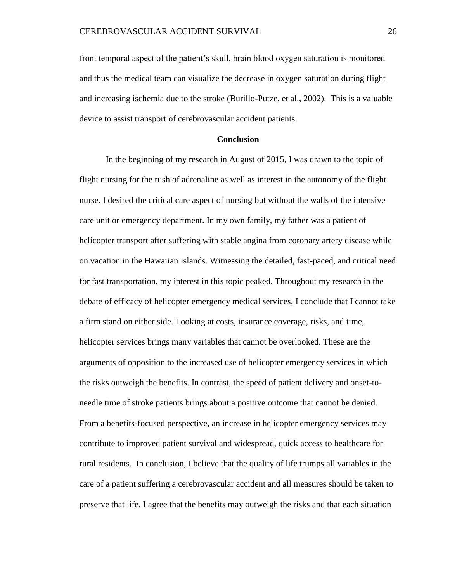front temporal aspect of the patient's skull, brain blood oxygen saturation is monitored and thus the medical team can visualize the decrease in oxygen saturation during flight and increasing ischemia due to the stroke (Burillo-Putze, et al., 2002). This is a valuable device to assist transport of cerebrovascular accident patients.

### **Conclusion**

In the beginning of my research in August of 2015, I was drawn to the topic of flight nursing for the rush of adrenaline as well as interest in the autonomy of the flight nurse. I desired the critical care aspect of nursing but without the walls of the intensive care unit or emergency department. In my own family, my father was a patient of helicopter transport after suffering with stable angina from coronary artery disease while on vacation in the Hawaiian Islands. Witnessing the detailed, fast-paced, and critical need for fast transportation, my interest in this topic peaked. Throughout my research in the debate of efficacy of helicopter emergency medical services, I conclude that I cannot take a firm stand on either side. Looking at costs, insurance coverage, risks, and time, helicopter services brings many variables that cannot be overlooked. These are the arguments of opposition to the increased use of helicopter emergency services in which the risks outweigh the benefits. In contrast, the speed of patient delivery and onset-toneedle time of stroke patients brings about a positive outcome that cannot be denied. From a benefits-focused perspective, an increase in helicopter emergency services may contribute to improved patient survival and widespread, quick access to healthcare for rural residents. In conclusion, I believe that the quality of life trumps all variables in the care of a patient suffering a cerebrovascular accident and all measures should be taken to preserve that life. I agree that the benefits may outweigh the risks and that each situation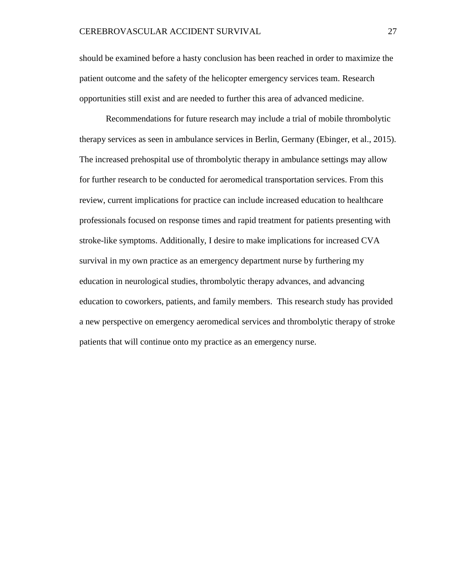should be examined before a hasty conclusion has been reached in order to maximize the patient outcome and the safety of the helicopter emergency services team. Research opportunities still exist and are needed to further this area of advanced medicine.

Recommendations for future research may include a trial of mobile thrombolytic therapy services as seen in ambulance services in Berlin, Germany (Ebinger, et al., 2015). The increased prehospital use of thrombolytic therapy in ambulance settings may allow for further research to be conducted for aeromedical transportation services. From this review, current implications for practice can include increased education to healthcare professionals focused on response times and rapid treatment for patients presenting with stroke-like symptoms. Additionally, I desire to make implications for increased CVA survival in my own practice as an emergency department nurse by furthering my education in neurological studies, thrombolytic therapy advances, and advancing education to coworkers, patients, and family members. This research study has provided a new perspective on emergency aeromedical services and thrombolytic therapy of stroke patients that will continue onto my practice as an emergency nurse.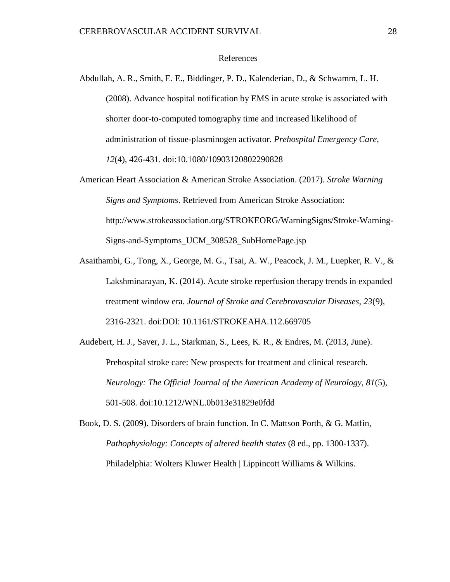#### References

- Abdullah, A. R., Smith, E. E., Biddinger, P. D., Kalenderian, D., & Schwamm, L. H. (2008). Advance hospital notification by EMS in acute stroke is associated with shorter door-to-computed tomography time and increased likelihood of administration of tissue-plasminogen activator. *Prehospital Emergency Care, 12*(4), 426-431. doi:10.1080/10903120802290828
- American Heart Association & American Stroke Association. (2017). *Stroke Warning Signs and Symptoms*. Retrieved from American Stroke Association: http://www.strokeassociation.org/STROKEORG/WarningSigns/Stroke-Warning-Signs-and-Symptoms\_UCM\_308528\_SubHomePage.jsp
- Asaithambi, G., Tong, X., George, M. G., Tsai, A. W., Peacock, J. M., Luepker, R. V., & Lakshminarayan, K. (2014). Acute stroke reperfusion therapy trends in expanded treatment window era. *Journal of Stroke and Cerebrovascular Diseases, 23*(9), 2316-2321. doi:DOI: 10.1161/STROKEAHA.112.669705
- Audebert, H. J., Saver, J. L., Starkman, S., Lees, K. R., & Endres, M. (2013, June). Prehospital stroke care: New prospects for treatment and clinical research. *Neurology: The Official Journal of the American Academy of Neurology, 81*(5), 501-508. doi:10.1212/WNL.0b013e31829e0fdd
- Book, D. S. (2009). Disorders of brain function. In C. Mattson Porth, & G. Matfin, *Pathophysiology: Concepts of altered health states* (8 ed., pp. 1300-1337). Philadelphia: Wolters Kluwer Health | Lippincott Williams & Wilkins.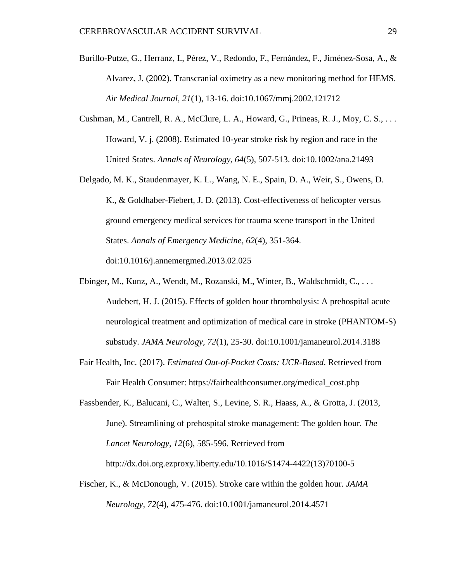- Burillo-Putze, G., Herranz, I., Pérez, V., Redondo, F., Fernández, F., Jiménez-Sosa, A., & Alvarez, J. (2002). Transcranial oximetry as a new monitoring method for HEMS. *Air Medical Journal, 21*(1), 13-16. doi:10.1067/mmj.2002.121712
- Cushman, M., Cantrell, R. A., McClure, L. A., Howard, G., Prineas, R. J., Moy, C. S., . . . Howard, V. j. (2008). Estimated 10-year stroke risk by region and race in the United States. *Annals of Neurology, 64*(5), 507-513. doi:10.1002/ana.21493
- Delgado, M. K., Staudenmayer, K. L., Wang, N. E., Spain, D. A., Weir, S., Owens, D. K., & Goldhaber-Fiebert, J. D. (2013). Cost-effectiveness of helicopter versus ground emergency medical services for trauma scene transport in the United States. *Annals of Emergency Medicine, 62*(4), 351-364. doi:10.1016/j.annemergmed.2013.02.025
- Ebinger, M., Kunz, A., Wendt, M., Rozanski, M., Winter, B., Waldschmidt, C., . . . Audebert, H. J. (2015). Effects of golden hour thrombolysis: A prehospital acute neurological treatment and optimization of medical care in stroke (PHANTOM-S) substudy. *JAMA Neurology, 72*(1), 25-30. doi:10.1001/jamaneurol.2014.3188
- Fair Health, Inc. (2017). *Estimated Out-of-Pocket Costs: UCR-Based*. Retrieved from Fair Health Consumer: https://fairhealthconsumer.org/medical\_cost.php
- Fassbender, K., Balucani, C., Walter, S., Levine, S. R., Haass, A., & Grotta, J. (2013, June). Streamlining of prehospital stroke management: The golden hour. *The Lancet Neurology, 12*(6), 585-596. Retrieved from http://dx.doi.org.ezproxy.liberty.edu/10.1016/S1474-4422(13)70100-5
- Fischer, K., & McDonough, V. (2015). Stroke care within the golden hour. *JAMA Neurology, 72*(4), 475-476. doi:10.1001/jamaneurol.2014.4571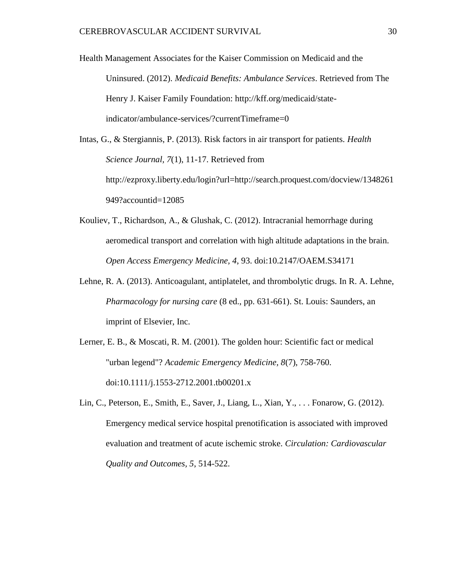Health Management Associates for the Kaiser Commission on Medicaid and the Uninsured. (2012). *Medicaid Benefits: Ambulance Services*. Retrieved from The Henry J. Kaiser Family Foundation: http://kff.org/medicaid/stateindicator/ambulance-services/?currentTimeframe=0

Intas, G., & Stergiannis, P. (2013). Risk factors in air transport for patients. *Health Science Journal, 7*(1), 11-17. Retrieved from http://ezproxy.liberty.edu/login?url=http://search.proquest.com/docview/1348261 949?accountid=12085

- Kouliev, T., Richardson, A., & Glushak, C. (2012). Intracranial hemorrhage during aeromedical transport and correlation with high altitude adaptations in the brain. *Open Access Emergency Medicine, 4*, 93. doi:10.2147/OAEM.S34171
- Lehne, R. A. (2013). Anticoagulant, antiplatelet, and thrombolytic drugs. In R. A. Lehne, *Pharmacology for nursing care* (8 ed., pp. 631-661). St. Louis: Saunders, an imprint of Elsevier, Inc.
- Lerner, E. B., & Moscati, R. M. (2001). The golden hour: Scientific fact or medical "urban legend"? *Academic Emergency Medicine, 8*(7), 758-760. doi:10.1111/j.1553-2712.2001.tb00201.x
- Lin, C., Peterson, E., Smith, E., Saver, J., Liang, L., Xian, Y., . . . Fonarow, G. (2012). Emergency medical service hospital prenotification is associated with improved evaluation and treatment of acute ischemic stroke. *Circulation: Cardiovascular Quality and Outcomes, 5*, 514-522.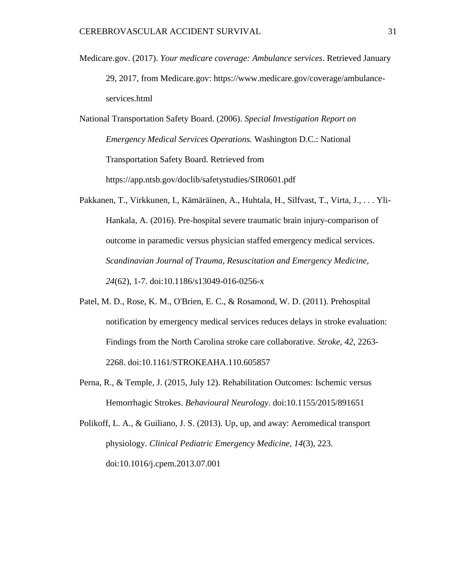- Medicare.gov. (2017). *Your medicare coverage: Ambulance services*. Retrieved January 29, 2017, from Medicare.gov: https://www.medicare.gov/coverage/ambulanceservices.html
- National Transportation Safety Board. (2006). *Special Investigation Report on Emergency Medical Services Operations.* Washington D.C.: National Transportation Safety Board. Retrieved from https://app.ntsb.gov/doclib/safetystudies/SIR0601.pdf
- Pakkanen, T., Virkkunen, I., Kämäräinen, A., Huhtala, H., Silfvast, T., Virta, J., . . . Yli-Hankala, A. (2016). Pre-hospital severe traumatic brain injury-comparison of outcome in paramedic versus physician staffed emergency medical services. *Scandinavian Journal of Trauma, Resuscitation and Emergency Medicine, 24*(62), 1-7. doi:10.1186/s13049-016-0256-x
- Patel, M. D., Rose, K. M., O'Brien, E. C., & Rosamond, W. D. (2011). Prehospital notification by emergency medical services reduces delays in stroke evaluation: Findings from the North Carolina stroke care collaborative. *Stroke, 42*, 2263- 2268. doi:10.1161/STROKEAHA.110.605857
- Perna, R., & Temple, J. (2015, July 12). Rehabilitation Outcomes: Ischemic versus Hemorrhagic Strokes. *Behavioural Neurology*. doi:10.1155/2015/891651

Polikoff, L. A., & Guiliano, J. S. (2013). Up, up, and away: Aeromedical transport physiology. *Clinical Pediatric Emergency Medicine, 14*(3), 223. doi:10.1016/j.cpem.2013.07.001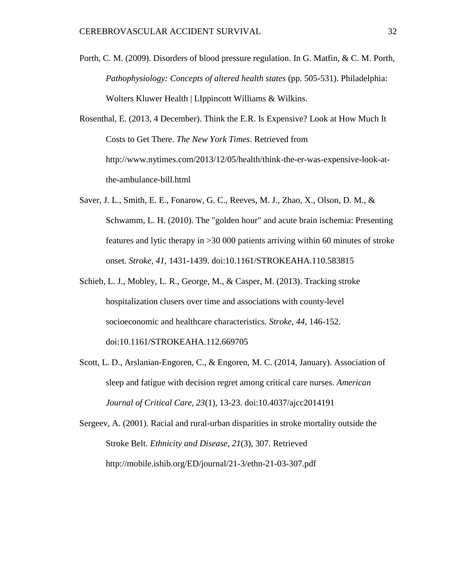- Porth, C. M. (2009). Disorders of blood pressure regulation. In G. Matfin, & C. M. Porth, *Pathophysiology: Concepts of altered health states* (pp. 505-531). Philadelphia: Wolters Kluwer Health | LIppincott Williams & Wilkins.
- Rosenthal, E. (2013, 4 December). Think the E.R. Is Expensive? Look at How Much It Costs to Get There. *The New York Times*. Retrieved from http://www.nytimes.com/2013/12/05/health/think-the-er-was-expensive-look-atthe-ambulance-bill.html
- Saver, J. L., Smith, E. E., Fonarow, G. C., Reeves, M. J., Zhao, X., Olson, D. M., & Schwamm, L. H. (2010). The "golden hour" and acute brain ischemia: Presenting features and lytic therapy in >30 000 patients arriving within 60 minutes of stroke onset. *Stroke, 41*, 1431-1439. doi:10.1161/STROKEAHA.110.583815
- Schieb, L. J., Mobley, L. R., George, M., & Casper, M. (2013). Tracking stroke hospitalization clusers over time and associations with county-level socioeconomic and healthcare characteristics. *Stroke, 44*, 146-152. doi:10.1161/STROKEAHA.112.669705
- Scott, L. D., Arslanian-Engoren, C., & Engoren, M. C. (2014, January). Association of sleep and fatigue with decision regret among critical care nurses. *American Journal of Critical Care, 23*(1), 13-23. doi:10.4037/ajcc2014191

Sergeev, A. (2001). Racial and rural-urban disparities in stroke mortality outside the Stroke Belt. *Ethnicity and Disease, 21*(3), 307. Retrieved http://mobile.ishib.org/ED/journal/21-3/ethn-21-03-307.pdf